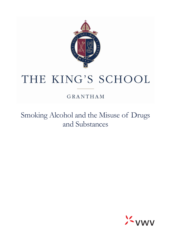

# THE KING'S SCHOOL

GRANTHAM

Smoking Alcohol and the Misuse of Drugs and Substances

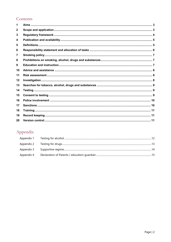## Contents

| 1            |  |
|--------------|--|
| $\mathbf{2}$ |  |
| 3            |  |
| 4            |  |
| 5            |  |
| 6            |  |
| 7            |  |
| 8            |  |
| 9            |  |
| 10           |  |
| 11           |  |
| 12           |  |
| 13           |  |
| 14           |  |
| 15           |  |
| 16           |  |
| 17           |  |
| 18           |  |
| 19           |  |
| 20           |  |

# Appendix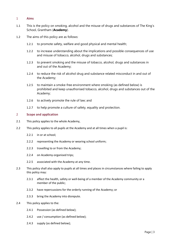#### <span id="page-2-0"></span>1 **Aims**

- 1.1 This is the policy on smoking, alcohol and the misuse of drugs and substances of The King's School, Grantham (**Academy**).
- 1.2 The aims of this policy are as follows:
	- 1.2.1 to promote safety, welfare and good physical and mental health;
	- 1.2.2 to increase understanding about the implications and possible consequences of use and misuse of tobacco, alcohol, drugs and substances;
	- 1.2.3 to prevent smoking and the misuse of tobacco, alcohol, drugs and substances in and out of the Academy;
	- 1.2.4 to reduce the risk of alcohol drug and substance related misconduct in and out of the Academy;
	- 1.2.5 to maintain a smoke-free environment where smoking (as defined below) is prohibited and keep unauthorised tobacco, alcohol, drugs and substances out of the Academy;
	- 1.2.6 to actively promote the rule of law; and
	- 1.2.7 to help promote a culture of safety, equality and protection.

#### <span id="page-2-1"></span>2 **Scope and application**

- 2.1 This policy applies to the whole Academy,
- 2.2 This policy applies to all pupils at the Academy and at all times when a pupil is:
	- 2.2.1 in or at school;
	- 2.2.2 representing the Academy or wearing school uniform;
	- 2.2.3 travelling to or from the Academy;
	- 2.2.4 on Academy-organised trips;
	- 2.2.5 associated with the Academy at any time.
- 2.3 This policy shall also apply to pupils at all times and places in circumstances where failing to apply this policy may:
	- 2.3.1 affect the health, safety or well-being of a member of the Academy community or a member of the public;
	- 2.3.2 have repercussions for the orderly running of the Academy; or
	- 2.3.3 bring the Academy into disrepute.
- 2.4 This policy applies to the:
	- 2.4.1 Possession (as defined below);
	- 2.4.2 use / consumption (as defined below);
	- 2.4.3 supply (as defined below);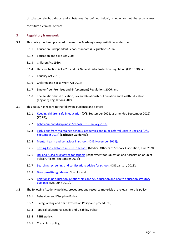of tobacco, alcohol, drugs and substances (as defined below), whether or not the activity may constitute a criminal offence.

#### <span id="page-3-0"></span>3 **Regulatory framework**

- 3.1 This policy has been prepared to meet the Academy's responsibilities under the:
	- 3.1.1 Education (Independent School Standards) Regulations 2014;
	- 3.1.2 Education and Skills Act 2008;
	- 3.1.3 Children Act 1989;
	- 3.1.4 Data Protection Act 2018 and UK General Data Protection Regulation (UK GDPR); and
	- 3.1.5 Equality Act 2010;
	- 3.1.6 Children and Social Work Act 2017;
	- 3.1.7 Smoke-free (Premises and Enforcement) Regulations 2006; and
	- 3.1.8 The Relationships Education, Sex and Relationships Education and Health Education (England) Regulations 2019
- 3.2 This policy has regard to the following guidance and advice:
	- 3.2.1 [Keeping children safe in education \(](https://www.gov.uk/government/publications/keeping-children-safe-in-education--2)DfE, September 2021, as amended September 2022) (**KCSIE**);
	- 3.2.2 [Behaviour and discipline in Schools \(DfE, January 2016\);](https://www.gov.uk/government/publications/behaviour-and-discipline-in-schools)
	- 3.2.3 Exclusions from maintained schools, academies and pupil referral units in England (DfE, [September 2017\)](https://www.gov.uk/government/publications/school-exclusion) (**Exclusion Guidance**);
	- 3.2.4 [Mental health and behaviour in schools \(DfE, November 2018\);](https://www.gov.uk/government/publications/mental-health-and-behaviour-in-schools--2)
	- 3.2.5 [Testing for substance misuse in schools](https://www.mosa.org.uk/wpfd_file/testing-for-substance-misuse-in-schools-june-2020/) (Medical Officers of Schools Association, June 2020;
	- 3.2.6 [DfE and ACPO drug advice for schools](https://www.gov.uk/government/uploads/system/uploads/attachment_data/file/270169/drug_advice_for_schools.pdf) (Department for Education and Association of Chief Police Officers, September 2012);
	- 3.2.7 [Searching, screening and confiscation: advice for schools \(](https://www.gov.uk/government/publications/searching-screening-and-confiscation)DfE, January 2018);
	- 3.2.8 [Drug penalties guidance](https://www.gov.uk/penalties-drug-possession-dealing) (Gov.uk); and
	- 3.2.9 [Relationships education, relationships and sex education and health education statutory](https://assets.publishing.service.gov.uk/government/uploads/system/uploads/attachment_data/file/908013/Relationships_Education__Relationships_and_Sex_Education__RSE__and_Health_Education.pdf)  [guidance \(](https://assets.publishing.service.gov.uk/government/uploads/system/uploads/attachment_data/file/908013/Relationships_Education__Relationships_and_Sex_Education__RSE__and_Health_Education.pdf)DfE, June 2019).
- 3.3 The following Academy policies, procedures and resource materials are relevant to this policy:
	- 3.3.1 Behaviour and Discipline Policy;
	- 3.3.2 Safeguarding and Child Protection Policy and procedures;
	- 3.3.3 Special Educational Needs and Disability Policy;
	- 3.3.4 PSHE policy;
	- 3.3.5 Curriculum policy;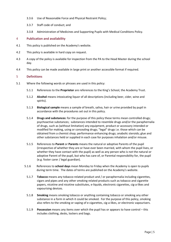- 3.3.6 Use of Reasonable Force and Physical Restraint Policy;
- 3.3.7 Staff code of conduct; and
- 3.3.8 Administration of Medicines and Supporting Pupils with Medical Conditions Policy.

#### <span id="page-4-0"></span>4 **Publication and availability**

- 4.1 This policy is published on the Academy's website.
- 4.2 This policy is available in hard copy on request.
- 4.3 A copy of the policy is available for inspection from the PA to the Head Master during the school day.
- 4.4 This policy can be made available in large print or another accessible format if required.

#### <span id="page-4-1"></span>5 **Definitions**

- 5.1 Where the following words or phrases are used in this policy:
	- 5.1.1 References to the **Proprietor** are references to the King's School, the Academy Trust.
	- 5.1.2 **Alcohol** means intoxicating liquor of all descriptions (including beer, cider, wine and spirits).
	- 5.1.3 **Biological sample** means a sample of breath, saliva, hair or urine provided by pupil in accordance with the procedures set out in this policy.
	- 5.1.4 **Drugs and substances:** for the purpose of this policy these terms mean controlled drugs; psychoactive substances; substances intended to resemble drugs and/or the paraphernalia of drugs, such as (without limitation) any equipment, product or accessory intended or modified for making, using or concealing drugs; "legal" drugs i.e. those which can be obtained from a chemist shop; performance enhancing drugs; anabolic steroids; glue and other substances held or supplied in each case for purposes inhalation and/or misuse.
	- 5.1.5 References to **Parent** or **Parents** means the natural or adoptive Parents of the pupil (irrespective of whether they are or have ever been married, with whom the pupil lives, or whether they have contact with the pupil) as well as any person who is not the natural or adoptive Parent of the pupil, but who has care of, or Parental responsibility for, the pupil (e.g. foster carer / legal guardian).
	- 5.1.6 References to **school days** mean Monday to Friday when the Academy is open to pupils during term time. The dates of terms are published on the Academy's website.
		- 5.1.7 **Tobacco** means any tobacco-related product and / or paraphernalia including cigarettes, cigars and pipes and any other smoking related products such as tobacco and cigarette papers, nicotine and nicotine substitutes, e-liquids, electronic cigarettes, cig-a-likes and vapourising devices.
		- 5.1.8 **Smoking** means smoking tobacco or anything containing tobacco or smoking any other substance in a form in which it could be smoked. For the purpose of this policy, smoking also refers to the smoking or vaping of e-cigarettes, cig-a-likes, or electronic vapourisers.
		- 5.1.9 **Possession** means any items over which the pupil has or appears to have control this includes clothing, desks, lockers and bags.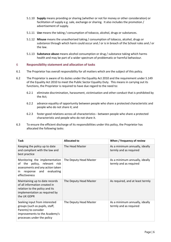- 5.1.10 **Supply** means providing or sharing (whether or not for money or other consideration) or facilitation of supply e.g. sale, exchange or sharing. It also includes the promotion / advertisement of supply.
- 5.1.11 **Use** means the taking / consumption of tobacco, alcohol, drugs or substances.
- 5.1.12 **Misuse** means the unauthorised taking / consumption of tobacco, alcohol, drugs or substance through which harm could occur and / or is in breach of the School rules and / or the law.
- 5.1.13 **Substance abuse** means alcohol consumption or drug / substance taking which harms health and may be part of a wider spectrum of problematic or harmful behaviour.

#### <span id="page-5-0"></span>6 **Responsibility statement and allocation of tasks**

- 6.1 The Proprietor has overall responsibility for all matters which are the subject of this policy.
- 6.2 The Proprietor is aware of its duties under the Equality Act 2010 and the requirement under S.149 of the Equality Act 2010 to meet the Public Sector Equality Duty. This means in carrying out its functions, the Proprietor is required to have due regard to the need to:
	- 6.2.1 eliminate discrimination, harassment, victimisation and other conduct that is prohibited by the Act;
	- 6.2.2 advance equality of opportunity between people who share a protected characteristic and people who do not share it; and
	- 6.2.3 foster good relations across all characteristics between people who share a protected characteristic and people who do not share it.
- 6.3 To ensure the efficient discharge of its responsibilities under this policy, the Proprietor has allocated the following tasks:

| <b>Task</b>                                                                                                                                             | Allocated to           | When / frequency of review                               |
|---------------------------------------------------------------------------------------------------------------------------------------------------------|------------------------|----------------------------------------------------------|
| Keeping the policy up to date<br>and compliant with the law and<br>best practice                                                                        | The Head Master        | As a minimum annually, ideally<br>termly and as required |
| Monitoring the implementation<br>the policy, relevant risk<br>of<br>assessments and any action taken<br>response and evaluating<br>in.<br>effectiveness | The Deputy Head Master | As a minimum annually, ideally<br>termly and as required |
| Maintaining up to date records<br>of all information created in<br>relation to the policy and its<br>implementation as required by<br>the UK GDPR       | The Deputy Head Master | As required, and at least termly                         |
| Seeking input from interested<br>groups (such as pupils, staff,<br>Parents) to consider<br>improvements to the Academy's<br>processes under the policy  | The Deputy Head Master | As a minimum annually, ideally<br>termly and as required |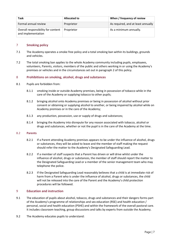| Task                                                     | Allocated to | When / frequency of review         |
|----------------------------------------------------------|--------------|------------------------------------|
| Formal annual review                                     | Proprietor   | As required, and at least annually |
| Overall responsibility for content<br>and implementation | Proprietor   | As a minimum annually.             |

#### <span id="page-6-0"></span>7 **Smoking policy**

- 7.1 The Academy operates a smoke free policy and a total smoking ban within its buildings, grounds and vehicles.
- 7.2 The total smoking ban applies to the whole Academy community including pupils, employees, volunteers, Parents, visitors, members of the public and others working in or using the Academy's premises or vehicles and in the circumstances set out in paragraph 2 of this policy.

#### <span id="page-6-1"></span>8 **Prohibitions on smoking, alcohol, drugs and substances**

- 8.1 Pupils are forbidden from:
	- 8.1.1 smoking inside or outside Academy premises, being in possession of tobacco while in the care of the Academy or supplying tobacco to other pupils;
	- 8.1.2 bringing alcohol onto Academy premises or being in possession of alcohol without prior consent or obtaining or supplying alcohol to another, or being impaired by alcohol while on Academy premises or in the care of the Academy;
	- 8.1.3 any production, possession, use or supply of drugs and substances;
	- 8.1.4 bringing the Academy into disrepute for any reason associated with tobacco, alcohol or drugs and substances, whether or not the pupil is in the care of the Academy at the time.

#### 8.2 **Parents**

- 8.2.1 If a Parent attending Academy premises appears to be under the influence of alcohol, drugs or substances, they will be asked to leave and the member of staff making the request should refer the matter to the Academy's Designated Safeguarding Lead.
- 8.2.2 If a member of staff suspects that a Parent has driven or will drive whilst under the influence of alcohol, drugs or substances, the member of staff should report the matter to the Designated Safeguarding Lead or a member of the senior management team who may telephone the police.
- 8.2.3 If the Designated Safeguarding Lead reasonably believes that a child is at immediate risk of harm from a Parent who is under the influence of alcohol, drugs or substances, the child will not be released into the care of the Parent and the Academy's child protection procedures will be followed.

#### <span id="page-6-2"></span>9 **Education and instruction**

- 9.1 The education of pupils about alcohol, tobacco, drugs and substances and their dangers forms part of the Academy's programme of relationships and sex education (RSE) and health education / personal, social and health education (PSHE) and within the framework of the overall pastoral care. It includes classroom teaching, group discussions and talks by experts from outside the Academy.
- 9.2 The Academy educates pupils to understand: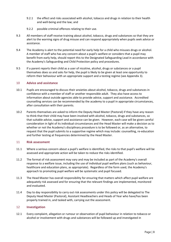- 9.2.1 the effect and risks associated with alcohol, tobacco and drugs in relation to their health and well-being and the law; and
- 9.2.2 possible criminal offences relating to their use.
- 9.3 All members of staff receive training about alcohol, tobacco, drugs and substances so that they are alert to the warning signs of drug misuse and can respond appropriately when pupils seek advice or assistance.
- 9.4 The Academy is alert to the potential need for early help for a child who misuses drugs or alcohol. A member of staff who has any concern about a pupil's welfare or considers that a pupil may benefit from early help, should report this to the Designated Safeguarding Lead in accordance with the Academy's Safeguarding and Child Protection policy and procedures.
- 9.5 If a parent reports their child as a user of nicotine, alcohol, drugs or substances or a pupil themselves does so and asks for help, the pupil is likely to be given at least one opportunity to reform their behaviour with an appropriate support and a testing regime (se[e Appendix 3\)](#page-13-0).

#### <span id="page-7-0"></span>10 **Advice and assistance**

- 10.1 Pupils are encouraged to discuss their anxieties about alcohol, tobacco, drugs and substances in confidence with a member of staff or another responsible adult. They also have access to information about outside agencies able to provide advice, support and assistance. Accredited counselling services can be recommended by the academy to a pupil in appropriate circumstances, after consultation with their parents.
- 10.2 Parents themselves are asked to inform the Deputy Head Master (Pastoral) if they have any reason to think that their child may have been involved with alcohol, tobacco, drugs and substances, so that suitable advice, support and assistance can be given. However, each case will be given careful consideration in light of its individual circumstances and the Head Master will make a decision as to whether or not the Academy's disciplinary procedure is to be followed or, as an alternative, to request that the pupil submits to a supportive regime which may include: counselling, re-education and further testing at frequencies determined by the Head Master.

#### <span id="page-7-1"></span>11 **Risk assessment**

- 11.1 Where a serious concern about a pupil's welfare is identified, the risks to that pupil's welfare will be assessed and appropriate action will be taken to reduce the risks identified.
- 11.2 The format of risk assessment may vary and may be included as part of the Academy's overall response to a welfare issue, including the use of individual pupil welfare plans (such as behaviour, healthcare and education plans, as appropriate). Regardless of the form used, the Academy's approach to promoting pupil welfare will be systematic and pupil focused.
- 11.3 The Head Master has overall responsibility for ensuring that matters which affect pupil welfare are adequately risk assessed and for ensuring that the relevant findings are implemented, monitored and evaluated.
- 11.4 Day to day responsibility to carry out risk assessments under this policy will be delegated to The Deputy Head Master (Pastoral), Assistant Headteachers and Heads of Year who have/has been properly trained in, and tasked with, carrying out the assessment.

#### <span id="page-7-2"></span>12 **Investigation**

12.1 Every complaint, allegation or rumour or observation of pupil behaviour in relation to tobacco or alcohol or involvement with drugs and substances will be followed up and investigated in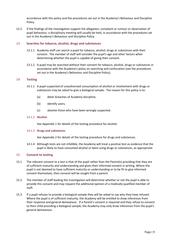accordance with this policy and the procedures set out in the Academy's Behaviour and Discipline Policy.

12.2 If the findings of the investigation support the allegation, complaint or rumour or observation of pupil behaviour, a disciplinary meeting will usually be held, in accordance with the procedures set out in the Academy's Behaviour and Discipline Policy.

#### <span id="page-8-0"></span>13 **Searches for tobacco, alcohol, drugs and substances**

- 13.1.1 Academy staff can search a pupil for tobacco, alcohol, drugs or substances with their consent. The member of staff will consider the pupil's age and other factors when determining whether the pupil is capable of giving their consent.
- 13.1.2 A pupil may be searched without their consent for tobacco, alcohol, drugs or substances in accordance with the Academy's policy on searching and confiscation (see the procedures set out in the Academy's Behaviour and Discipline Policy).

#### <span id="page-8-1"></span>14 **Testing**

- 14.1.1 A pupil suspected of unauthorised consumption of alcohol or involvement with drugs or substances may be asked to give a biological sample. The reason for this policy is to:
	- (a) deter breaches of Academy discipline;
	- (b) identify users;
	- (c) absolve those who have been wrongly suspected.

#### 14.1.2 **Alcohol**

See [Appendix 1](#page-11-0) for details of the testing procedure for alcohol.

#### 14.1.3 **Drugs and substances**

See [Appendix 2](#page-12-0) for details of the testing procedure for drugs and substances.

14.1.4 Although tests are not infallible, the Academy will treat a positive test as evidence that the pupil is likely to have consumed alcohol or been using drugs or substances, as appropriate.

#### <span id="page-8-2"></span>15 **Consent to testing**

- 15.1 The relevant consent to a test is that of the pupil rather than the Parent(s) providing that they are of sufficient maturity and understanding and gives their informed consent in writing. Where the pupil is not deemed to have sufficient maturity or understanding or to be fit to give informed consent themselves, then consent will be sought from a parent.
- 15.2 The member of staff leading the investigation will determine whether or not the pupil is able to provide this consent and may request the additional opinion of a medically qualified member of staff.
- 15.3 If a pupil refuses to provide a biological sample they will be asked to say why they have refused. Where the pupil is of sufficient maturity, the Academy will be entitled to draw inferences from their response and general demeanour. If a Parent's consent is required and they refuse to consent to their child providing a biological sample, the Academy may only draw inferences from the pupil's general demeanour.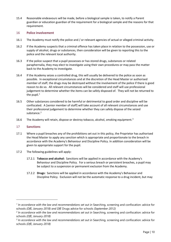15.4 Reasonable endeavours will be made, before a biological sample is taken, to notify a Parent guardian or education guardian of the requirement for a biological sample and the reasons for that requirement.

#### <span id="page-9-0"></span>16 **Police involvement**

- 16.1 The Academy must notify the police and / or relevant agencies of actual or alleged criminal activity.
- 16.2 If the Academy suspects that a criminal offence has taken place in relation to the possession, use or supply of alcohol, drugs or substances, then consideration will be given to reporting this to the police and the relevant local authority.
- 16.3 If the police suspect that a pupil possesses or has stored drugs, substances or related paraphernalia, they may elect to investigate using their own procedures or may pass the matter back to the Academy to investigate.
- 16.4 If the Academy seizes a controlled drug, this will usually be delivered to the police as soon as possible. In exceptional circumstances and at the discretion of the Head Master or authorised member of staff, the drugs may be destroyed without the involvement of the police if there is good reason to do so. All relevant circumstances will be considered and staff will use professional judgement to determine whether the items can be safely disposed of. They will not be returned to the pupil. $<sup>1</sup>$  $<sup>1</sup>$  $<sup>1</sup>$ </sup>
- 16.5 Other substances considered to be harmful or detrimental to good order and discipline will be confiscated. A [senior member of staff] will take account of all relevant circumstances and use their professional judgement to determine whether they can safely dispose of the seized substance.<sup>[2](#page-9-3)</sup>
- 16.6 The Academy will retain, dispose or destroy tobacco, alcohol, smoking equipment.<sup>[3](#page-9-4)</sup>

#### <span id="page-9-1"></span>17 **Sanctions**

- 17.1 Where a pupil breaches any of the prohibitions set out in this policy, the Proprietor has authorised the Head Master to apply any sanction which is appropriate and proportionate to the breach in accordance with the Academy's Behaviour and Discipline Policy. In addition consideration will be given to appropriate support for the pupil.
- 17.2 The following guidelines will apply:
	- 17.2.1 **Tobacco and alcohol:** Sanctions will be applied in accordance with the Academy's Behaviour and Discipline Policy. For a serious breach or persistent breaches, a pupil may be subject to a suspension or permanent exclusion from the Academy.
	- 17.2.2 **Drugs:** Sanctions will be applied in accordance with the Academy's Behaviour and Discipline Policy. Exclusion will not be the automatic response to a drug incident, but may

<span id="page-9-2"></span><sup>&</sup>lt;sup>1</sup> In accordance with the law and recommendations set out in Searching, screening and confiscation: advice for schools *(DfE, January 2018) and DfE* Drugs advice for schools *(September 2012)*

<span id="page-9-3"></span><sup>&</sup>lt;sup>2</sup> In accordance with the law and recommendations set out in Searching, screening and confiscation: advice for schools *(DfE, January 2018)*

<span id="page-9-4"></span><sup>&</sup>lt;sup>3</sup> In accordance with the law and recommendations set out in Searching, screening and confiscation: advice for schools *(DfE, January 2018)*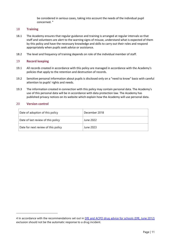be considered in serious cases, taking into account the needs of the individual pupil concerned. [4](#page-10-3)

#### <span id="page-10-0"></span>18 **Training**

- 18.1 The Academy ensures that regular guidance and training is arranged at regular intervals so that staff and volunteers are alert to the warning signs of misuse, understand what is expected of them by this policy and have the necessary knowledge and skills to carry out their roles and respond appropriately when pupils seek advice or assistance.
- 18.2 The level and frequency of training depends on role of the individual member of staff.

#### <span id="page-10-1"></span>19 **Record keeping**

- 19.1 All records created in accordance with this policy are managed in accordance with the Academy's policies that apply to the retention and destruction of records.
- 19.2 Sensitive personal information about pupils is disclosed only on a "need to know" basis with careful attention to pupils' rights and needs.
- 19.3 The information created in connection with this policy may contain personal data. The Academy's use of this personal data will be in accordance with data protection law. The Academy has published privacy notices on its website which explain how the Academy will use personal data.

#### <span id="page-10-2"></span>20 **Version control**

| Date of adoption of this policy     | December 2018 |
|-------------------------------------|---------------|
| Date of last review of this policy  | June 2022     |
| Date for next review of this policy | June 2023     |

<span id="page-10-3"></span><sup>4</sup> In accordance with the recommendations set out in [DfE and ACPO drug advice for schools \(DfE, June 2012\)](https://assets.publishing.service.gov.uk/government/uploads/system/uploads/attachment_data/file/270169/drug_advice_for_schools.pdf) exclusion should not be the automatic response to a drug incident.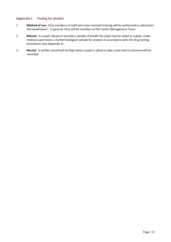#### <span id="page-11-0"></span>**Appendix 1 Testing for alcohol**

- 1 **Method of use:** Only members of staff who have received training will be authorised to administer the breathalyser. In general, they will be members of the Senior Management Team.
- 2 **Refusal:** If a pupil refuses to provide a sample of breath the pupil may be asked to supply, under medical supervision, a further biological sample for analysis in accordance with the drug testing procedures (see [Appendix 2\)](#page-12-0).
- 3 **Record:** A written record will be kept when a pupil is asked to take a test and its outcome will be recorded.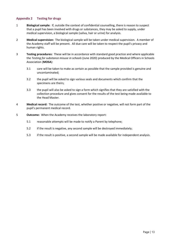#### <span id="page-12-0"></span>**Appendix 2 Testing for drugs**

- 1 **Biological sample:** If, outside the context of confidential counselling, there is reason to suspect that a pupil has been involved with drugs or substances, they may be asked to supply, under medical supervision, a biological sample (saliva, hair or urine) for analysis.
- 2 **Medical supervision:** The biological sample will be taken under medical supervision. A member of the Academy staff will be present. All due care will be taken to respect the pupil's privacy and human rights.
- 3 **Testing procedures:** These will be in accordance with standard good practice and where applicable the *Testing for substance misuse in schools* (June 2020) produced by the Medical Officers in Schools Association (**MOSA**):
	- 3.1 care will be taken to make as certain as possible that the sample provided is genuine and uncontaminated;
	- 3.2 the pupil will be asked to sign various seals and documents which confirm that the specimens are theirs;
	- 3.3 the pupil will also be asked to sign a form which signifies that they are satisfied with the collection procedure and gives consent for the results of the test being made available to the Head Master.
- 4 **Medical record:** The outcome of the test, whether positive or negative, will not form part of the pupil's permanent medical record.
- 5 **Outcome:** When the Academy receives the laboratory report:
	- 5.1 reasonable attempts will be made to notify a Parent by telephone;
	- 5.2 if the result is negative, any second sample will be destroyed immediately;
	- 5.3 if the result is positive, a second sample will be made available for independent analysis.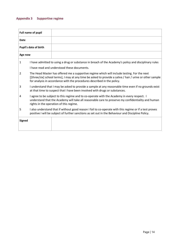### <span id="page-13-0"></span>**Appendix 3 Supportive regime**

| Full name of pupil    |                                                                                                                                                                                                                                                                                     |                                                                                                                                                                                     |  |
|-----------------------|-------------------------------------------------------------------------------------------------------------------------------------------------------------------------------------------------------------------------------------------------------------------------------------|-------------------------------------------------------------------------------------------------------------------------------------------------------------------------------------|--|
| Date                  |                                                                                                                                                                                                                                                                                     |                                                                                                                                                                                     |  |
| Pupil's date of birth |                                                                                                                                                                                                                                                                                     |                                                                                                                                                                                     |  |
| Age now               |                                                                                                                                                                                                                                                                                     |                                                                                                                                                                                     |  |
| $\mathbf{1}$          |                                                                                                                                                                                                                                                                                     | I have admitted to using a drug or substance in breach of the Academy's policy and disciplinary rules                                                                               |  |
|                       |                                                                                                                                                                                                                                                                                     | I have read and understood these documents.                                                                                                                                         |  |
| 2                     | The Head Master has offered me a supportive regime which will include testing. For the next<br>[[three/six] school terms], I may at any time be asked to provide a saliva / hair / urine or other sample<br>for analysis in accordance with the procedures described in the policy. |                                                                                                                                                                                     |  |
| 3                     |                                                                                                                                                                                                                                                                                     | I understand that I may be asked to provide a sample at any reasonable time even if no grounds exist<br>at that time to suspect that I have been involved with drugs or substances. |  |
| 4                     | I agree to be subject to this regime and to co-operate with the Academy in every respect. I<br>understand that the Academy will take all reasonable care to preserve my confidentiality and human<br>rights in the operation of this regime.                                        |                                                                                                                                                                                     |  |
| 5                     | I also understand that if without good reason I fail to co-operate with this regime or if a test proves<br>positive I will be subject of further sanctions as set out in the Behaviour and Discipline Policy.                                                                       |                                                                                                                                                                                     |  |
| <b>Signed</b>         |                                                                                                                                                                                                                                                                                     |                                                                                                                                                                                     |  |